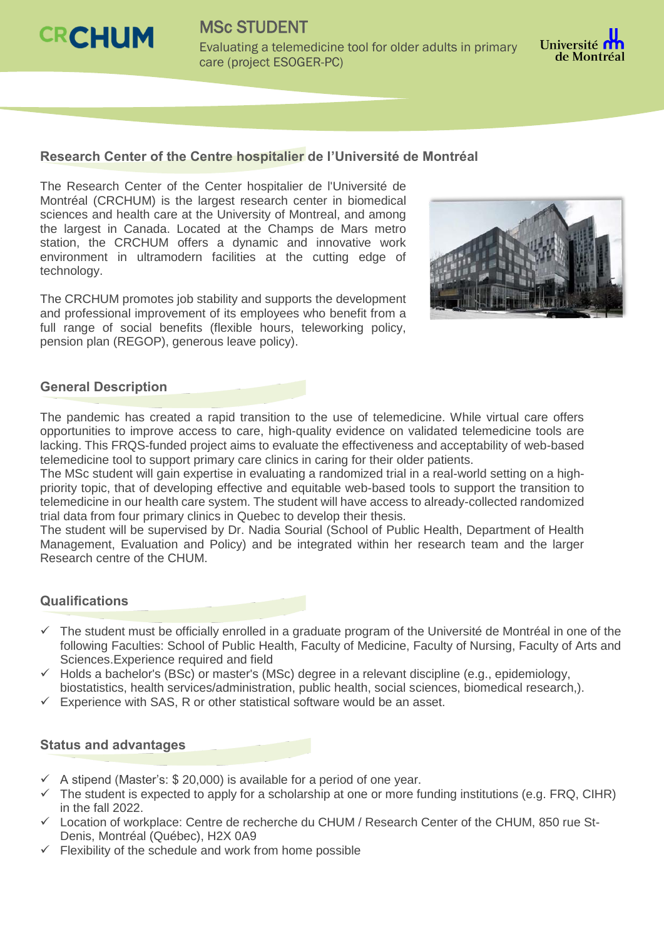

MSc STUDENT Evaluating a telemedicine tool for older adults in primary care (project ESOGER-PC)



## **Research Center of the Centre hospitalier de l'Université de Montréal**

The Research Center of the Center hospitalier de l'Université de Montréal (CRCHUM) is the largest research center in biomedical sciences and health care at the University of Montreal, and among the largest in Canada. Located at the Champs de Mars metro station, the CRCHUM offers a dynamic and innovative work environment in ultramodern facilities at the cutting edge of technology.

The CRCHUM promotes job stability and supports the development and professional improvement of its employees who benefit from a full range of social benefits (flexible hours, teleworking policy, pension plan (REGOP), generous leave policy).



## **General Description**

The pandemic has created a rapid transition to the use of telemedicine. While virtual care offers opportunities to improve access to care, high-quality evidence on validated telemedicine tools are lacking. This FRQS-funded project aims to evaluate the effectiveness and acceptability of web-based telemedicine tool to support primary care clinics in caring for their older patients.

The MSc student will gain expertise in evaluating a randomized trial in a real-world setting on a highpriority topic, that of developing effective and equitable web-based tools to support the transition to telemedicine in our health care system. The student will have access to already-collected randomized trial data from four primary clinics in Quebec to develop their thesis.

The student will be supervised by Dr. Nadia Sourial (School of Public Health, Department of Health Management, Evaluation and Policy) and be integrated within her research team and the larger Research centre of the CHUM.

## **Qualifications**

- $\checkmark$  The student must be officially enrolled in a graduate program of the Université de Montréal in one of the following Faculties: School of Public Health, Faculty of Medicine, Faculty of Nursing, Faculty of Arts and Sciences.Experience required and field
- $\checkmark$  Holds a bachelor's (BSc) or master's (MSc) degree in a relevant discipline (e.g., epidemiology, biostatistics, health services/administration, public health, social sciences, biomedical research,).
- $\checkmark$  Experience with SAS, R or other statistical software would be an asset.

## **Status and advantages**

- A stipend (Master's: \$ 20,000) is available for a period of one year.
- $\checkmark$  The student is expected to apply for a scholarship at one or more funding institutions (e.g. FRQ, CIHR) in the fall 2022.
- $\checkmark$  Location of workplace: Centre de recherche du CHUM / Research Center of the CHUM, 850 rue St-Denis, Montréal (Québec), H2X 0A9
- $\checkmark$  Flexibility of the schedule and work from home possible